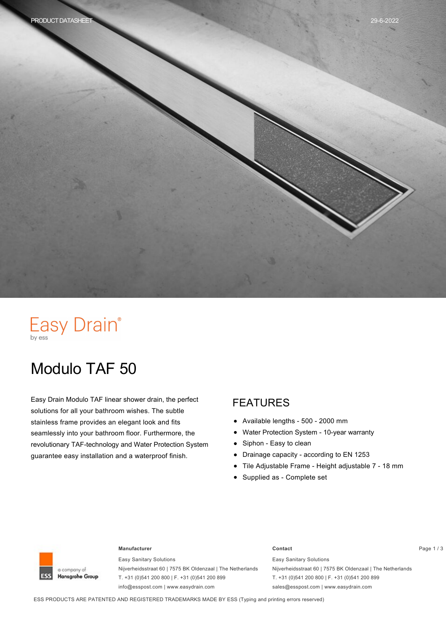# Easy Drain®

## Modulo TAF 50

Easy Drain Modulo TAF linear shower drain, the perfect solutions for all your bathroom wishes. The subtle stainless frame provides an elegant look and fits seamlessly into your bathroom floor. Furthermore, the revolutionary TAF-technology and Water Protection System guarantee easy installation and a waterproof finish.

#### FEATURES

- Available lengths 500 2000 mm  $\bullet$
- Water Protection System 10-year warranty
- Siphon Easy to clean  $\bullet$
- Drainage capacity according to EN 1253  $\bullet$
- Tile Adjustable Frame Height adjustable 7 18 mm
- Supplied as Complete set



#### **Manufacturer Contact** Page 1 / 3

Easy Sanitary Solutions Nijverheidsstraat 60 | 7575 BK Oldenzaal | The Netherlands T. +31 (0)541 200 800 | F. +31 (0)541 200 899 info@esspost.com | www.easydrain.com

Easy Sanitary Solutions Nijverheidsstraat 60 | 7575 BK Oldenzaal | The Netherlands T. +31 (0)541 200 800 | F. +31 (0)541 200 899 sales@esspost.com | www.easydrain.com

ESS PRODUCTS ARE PATENTED AND REGISTERED TRADEMARKS MADE BY ESS (Typing and printing errors reserved)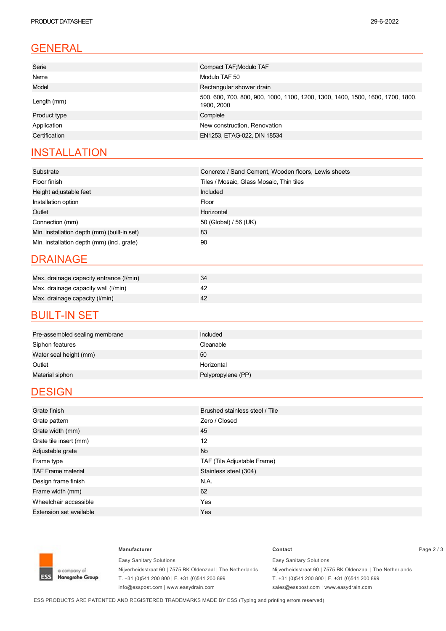### GENERAL

| Serie         | Compact TAF; Modulo TAF                                                                      |  |  |
|---------------|----------------------------------------------------------------------------------------------|--|--|
| Name          | Modulo TAF 50                                                                                |  |  |
| Model         | Rectangular shower drain                                                                     |  |  |
| Length (mm)   | 500, 600, 700, 800, 900, 1000, 1100, 1200, 1300, 1400, 1500, 1600, 1700, 1800,<br>1900, 2000 |  |  |
| Product type  | Complete                                                                                     |  |  |
| Application   | New construction, Renovation                                                                 |  |  |
| Certification | EN1253, ETAG-022, DIN 18534                                                                  |  |  |

### **INSTALLATION**

| Substrate                                   | Concrete / Sand Cement, Wooden floors, Lewis sheets |  |  |
|---------------------------------------------|-----------------------------------------------------|--|--|
| Floor finish                                | Tiles / Mosaic, Glass Mosaic, Thin tiles            |  |  |
| Height adjustable feet                      | Included                                            |  |  |
| Installation option                         | Floor                                               |  |  |
| Outlet                                      | Horizontal                                          |  |  |
| Connection (mm)                             | 50 (Global) / 56 (UK)                               |  |  |
| Min. installation depth (mm) (built-in set) | 83                                                  |  |  |
| Min. installation depth (mm) (incl. grate)  | 90                                                  |  |  |

#### DRAINAGE

| Max. drainage capacity entrance (I/min) |  |
|-----------------------------------------|--|
| Max. drainage capacity wall (I/min)     |  |
| Max. drainage capacity (I/min)          |  |

#### **BUILT-IN SET**

| Pre-assembled sealing membrane | Included           |
|--------------------------------|--------------------|
| Siphon features                | Cleanable          |
| Water seal height (mm)         | 50                 |
| Outlet                         | Horizontal         |
| Material siphon                | Polypropylene (PP) |

#### **DESIGN**

| Grate finish                   | Brushed stainless steel / Tile |  |  |
|--------------------------------|--------------------------------|--|--|
| Grate pattern                  | Zero / Closed                  |  |  |
| Grate width (mm)               | 45                             |  |  |
| Grate tile insert (mm)         | 12                             |  |  |
| Adjustable grate               | <b>No</b>                      |  |  |
| Frame type                     | TAF (Tile Adjustable Frame)    |  |  |
| <b>TAF Frame material</b>      | Stainless steel (304)          |  |  |
| Design frame finish            | N.A.                           |  |  |
| Frame width (mm)               | 62                             |  |  |
| Wheelchair accessible          | Yes                            |  |  |
| <b>Extension set available</b> | <b>Yes</b>                     |  |  |



Easy Sanitary Solutions Nijverheidsstraat 60 | 7575 BK Oldenzaal | The Netherlands T. +31 (0)541 200 800 | F. +31 (0)541 200 899 info@esspost.com | www.easydrain.com

#### **Manufacturer Contact** Page 2 / 3 Easy Sanitary Solutions

Nijverheidsstraat 60 | 7575 BK Oldenzaal | The Netherlands T. +31 (0)541 200 800 | F. +31 (0)541 200 899 sales@esspost.com | www.easydrain.com

ESS PRODUCTS ARE PATENTED AND REGISTERED TRADEMARKS MADE BY ESS (Typing and printing errors reserved)